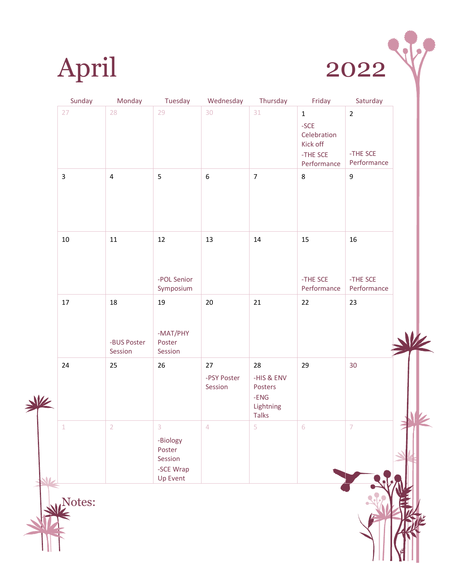



|   | Sunday         | Monday                       | Tuesday                                                     | Wednesday                    | Thursday                                                           | Friday                                                                      | Saturday                                  |  |
|---|----------------|------------------------------|-------------------------------------------------------------|------------------------------|--------------------------------------------------------------------|-----------------------------------------------------------------------------|-------------------------------------------|--|
|   | 27             | 28                           | 29                                                          | 30                           | 31                                                                 | $\mathbf 1$<br>$-SCE$<br>Celebration<br>Kick off<br>-THE SCE<br>Performance | $\overline{2}$<br>-THE SCE<br>Performance |  |
|   | $\mathsf{3}$   | $\overline{\mathbf{4}}$      | $\mathsf S$                                                 | $\boldsymbol{6}$             | $\overline{7}$                                                     | $\,8\,$                                                                     | 9                                         |  |
|   | $10\,$         | $11\,$                       | $12\,$<br>-POL Senior<br>Symposium                          | 13                           | 14                                                                 | 15<br>-THE SCE<br>Performance                                               | $16\,$<br>-THE SCE<br>Performance         |  |
|   | $17\,$         | 18<br>-BUS Poster<br>Session | 19<br>-MAT/PHY<br>Poster<br>Session                         | $20\,$                       | 21                                                                 | $22\,$                                                                      | 23                                        |  |
| 业 | 24             | 25                           | 26                                                          | 27<br>-PSY Poster<br>Session | 28<br>-HIS & ENV<br>Posters<br>$-ENG$<br>Lightning<br><b>Talks</b> | 29                                                                          | 30                                        |  |
|   | $\overline{1}$ | $\mathcal{D}$                | 3<br>-Biology<br>Poster<br>Session<br>-SCE Wrap<br>Up Event | $\sqrt{2}$                   | $\mathbb{R}$                                                       | $\mathsf{G}$                                                                | $\overline{7}$                            |  |
|   | Notes:         |                              |                                                             |                              |                                                                    |                                                                             |                                           |  |